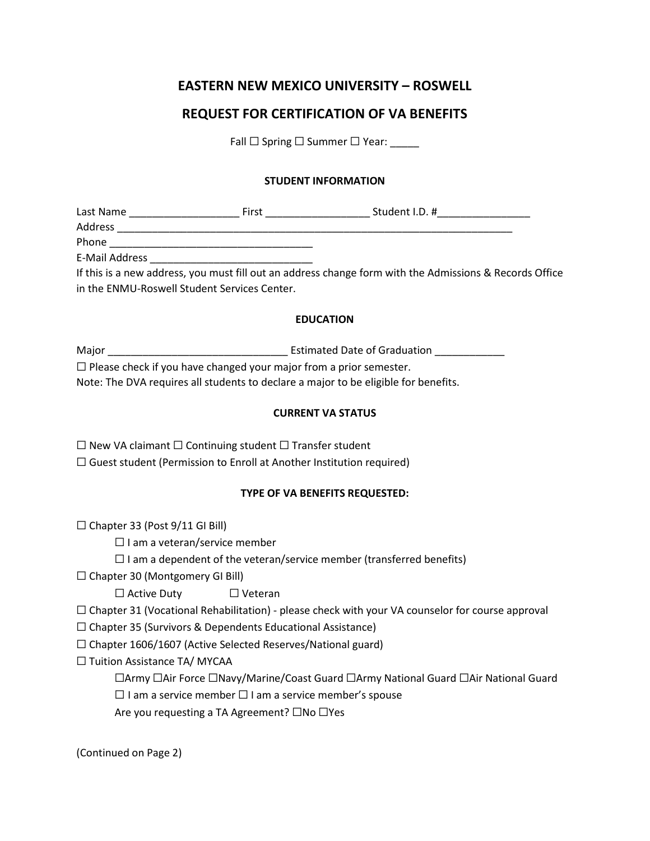# **EASTERN NEW MEXICO UNIVERSITY – ROSWELL**

## **REQUEST FOR CERTIFICATION OF VA BENEFITS**

Fall  $\Box$  Spring  $\Box$  Summer  $\Box$  Year:

#### **STUDENT INFORMATION**

| Last Name      | First | Student I.D. #                                                                                     |  |
|----------------|-------|----------------------------------------------------------------------------------------------------|--|
| <b>Address</b> |       |                                                                                                    |  |
| Phone          |       |                                                                                                    |  |
| E-Mail Address |       |                                                                                                    |  |
|                |       | If this is a new address, you must fill out an address change form with the Admissions & Records ( |  |

If this is a new address, you must fill out an address change form with the Admissions & Records Office in the ENMU-Roswell Student Services Center.

#### **EDUCATION**

| Major                                                                               | <b>Estimated Date of Graduation</b> |
|-------------------------------------------------------------------------------------|-------------------------------------|
| $\Box$ Please check if you have changed your major from a prior semester.           |                                     |
| Note: The DVA requires all students to declare a major to be eligible for benefits. |                                     |

#### **CURRENT VA STATUS**

☐ New VA claimant ☐ Continuing student ☐ Transfer student  $\Box$  Guest student (Permission to Enroll at Another Institution required)

#### **TYPE OF VA BENEFITS REQUESTED:**

 $\Box$  Chapter 33 (Post 9/11 GI Bill)

☐ I am a veteran/service member

 $\Box$  I am a dependent of the veteran/service member (transferred benefits)

 $\Box$  Chapter 30 (Montgomery GI Bill)

☐ Active Duty ☐ Veteran

 $\Box$  Chapter 31 (Vocational Rehabilitation) - please check with your VA counselor for course approval

☐ Chapter 35 (Survivors & Dependents Educational Assistance)

 $\Box$  Chapter 1606/1607 (Active Selected Reserves/National guard)

☐ Tuition Assistance TA/ MYCAA

☐Army ☐Air Force ☐Navy/Marine/Coast Guard ☐Army National Guard ☐Air National Guard

☐ I am a service member ☐ I am a service member's spouse

Are you requesting a TA Agreement? □No □Yes

(Continued on Page 2)